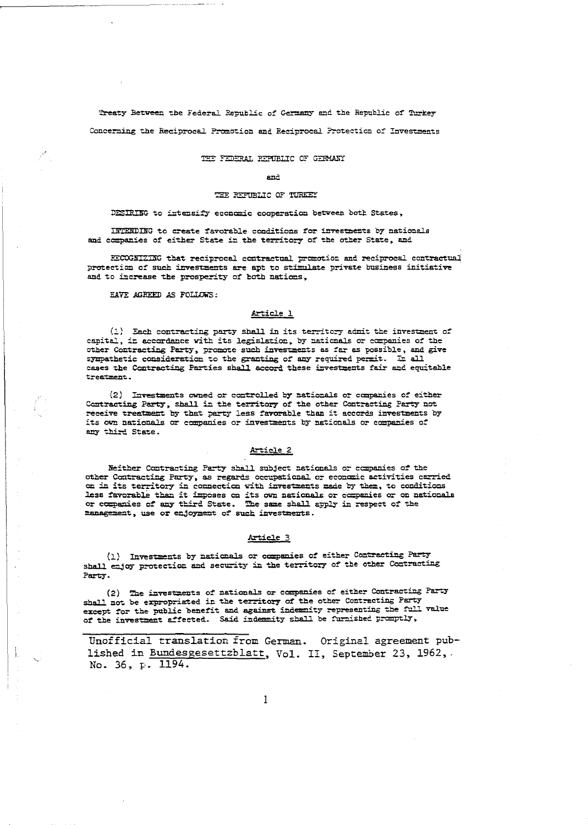Treaty Between the Federal Republic of Germany and the Republic of Turkey

Concerning the Reciprocal Promotion and Reciprocal Protection of Investments

### THE FEDERAL REPUBLIC OF GERMANY

#### and

#### THE REPUBLIC OF TURKEY

DESIRIEG to intensify economic cooperation between both States,

INTENDING to create favorable conditions for investments by nationals and companies of either State in the territory of the other State, and

RECOGNIZING that reciprocal contractual promotion and reciprocal contractual protection of such investments are apt to stimulate private business initiative and to increase the prosperity of both nations,

HAVE AGREED AS FOLLOWS:

j

### Article 1

(1) Each contracting party shall in its territory admit the investment of capital, in accordance with its legislation, by nationals or companies of the other Contracting Party, promote such investments as far as possible, and give sympathetic consideration to the granting of any required permit. In all cases the Contracting Parties shall accord these investments fair and equitable treatment.

(2) Investments owned or controlled by nationals or companies of either Contracting Party, shall in the territory of the other Contracting Party not receive treatment by that party less favorable than it accords investments by its own nationals or companies or investments by nationals or companies of any third State.

# Article 2

Neither Contracting Party shall subject nationals or companies of the other Contracting Party, as regards occupational or economic activities carried on in its territory in connection with investments made by them, to conditions less favorable than it imposes on its own nationals or companies or on nationals or companies of any third State. The same shall apply in respect of the management, use or enjoyment of such investments.

### Article 3

(1) Investments by nationals or companies of either Contracting Party shall enjoy protection and security in the territory of the other Contracting Party.

(2) The investments of nationals or companies of either Contracting Party shall not be expropriated in the territory of the other Contracting Party except for the public benefit and against indemnity representing the full value of the investment affected. Said indemnity shall be furnished promptly,

Unofficial translation from German. Original agreement published in Bundesgesettzblatt, Vol. II, September 23, 1962, No. 36, p. 1194.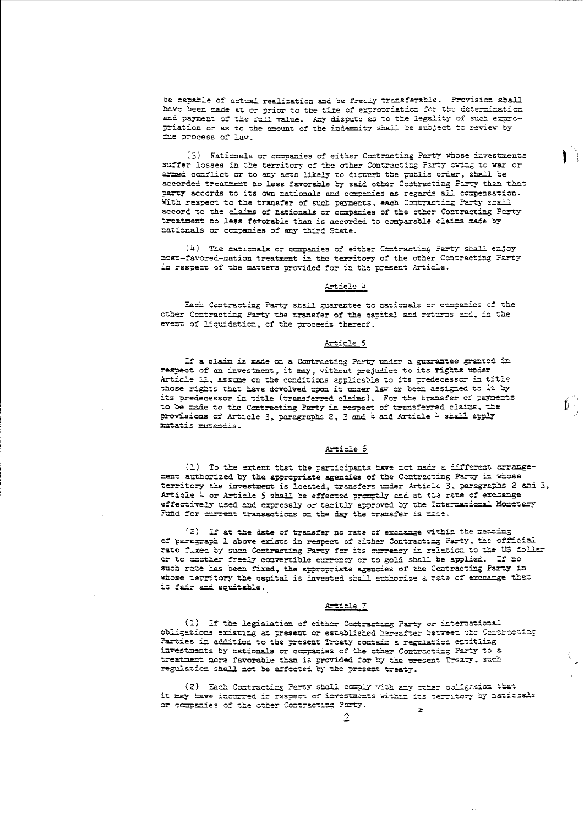be capable of actual realization and be freely transferable. Provision shall have been made at or prior to the time of expropriation for the determination and payment of the full value. Any dispute as to the legality of such expropriation or as to the amount of the indemnity shall be subject to review by due process of law.

(3) Nationals or companies of either Contracting Party whose investments suffer losses in the territory of the other Contracting Party owing to war or armed conflict or to any acts likely to disturb the public order, shell be accorded treatment no less favorable by said other Contracting Party than that party accords to its own nationals and companies as regards all compensation. With respect to the transfer of such payments, each Contracting Party shall accord to the claims of nationals or companies of the other Contracting Party treatment no less favorable than is accorded to comparable claims made by nationals or companies of any third State.

 $\mathbf{I}$ 

 $\mathbf{E}$ 

(4) The nationals or companies of either Contracting Party shall enjoy most-favored-nation treatment in the territory of the other Contracting Party in respect of the matters provided for in the present Article.

### Article 4

Each Contracting Party shall guarantee to nationals or companies of the other Contracting Party the transfer of the capital and returns and, in the event of liquidation, of the proceeds thereof.

### Article 5

If a claim is made on a Contracting Farty under a guarantee granted in respect of an investment, it may, without prejudice to its rights under Article 11, assume on the conditions applicable to its predecessor in title those rights that have devolved upon it under law or been assigned to it by its predecessor in title (transferred claims). For the transfer of payments to be made to the Contracting Party in respect of transferred claims, the provisions of Article 3, paragraphs 2, 3 and 4 and Article 4 shall apply mutatis mutandis.

### Article 6

(1) To the extent that the participants have not made a different arrangement authorized by the appropriate agencies of the Contracting Party in Whose territory the investment is located, transfers under Article 3. paragraphs 2 and 3, Article 4 or Article 5 shall be effected promptly and at the rate of exchange effectively used and expressly or tacitly approved by the International Monetary Fund for current transactions on the day the transfer is made.

(2) If at the date of transfer no rate of exchange within the meaning of paragraph 1 above exists in respect of either Contracting Party, the official rate fixed by such Contracting Party for its currency in relation to the US dollar or to another freely convertible currency or to gold shall be applied. If no such rate has been fixed, the appropriate agencies of the Contracting Party in whose territory the capital is invested shall authorize a rate of exchange that is fair and equitable.

#### Article 7

(1) If the legislation of either Contracting Party or international obligations existing at present or established hereafter between the Contracting Parties in addition to the present Treaty contain a regulation entitling investments by nationals or companies of the other Contracting Party to a treatment more favorable than is provided for by the present Treaty, such regulation shall not be affected by the present treaty.

(2) Each Contracting Party shall comply with any other obligation that it may have incurred in respect of investments within its territory by nationals or companies of the other Contracting Party.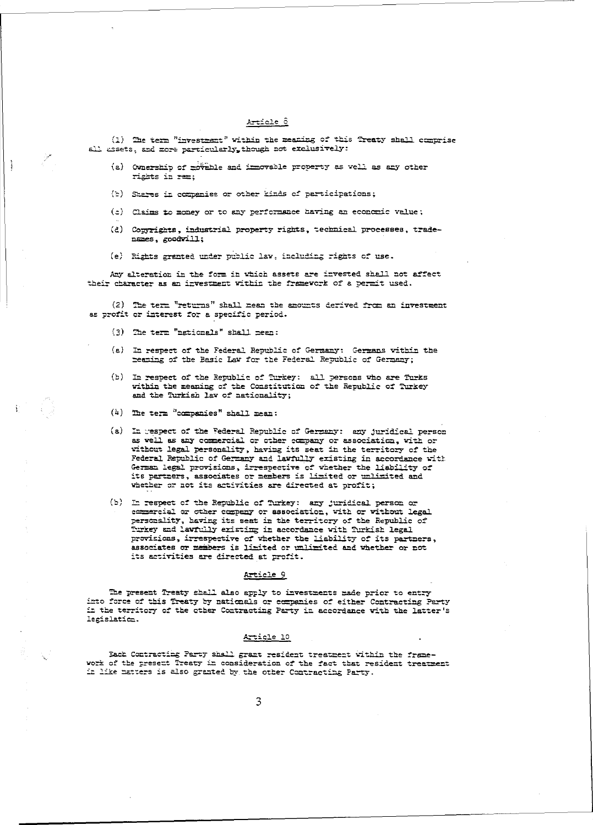# Article 8

(1) The term "investment" within the meaning of this Treaty shall comprise all assets, and more particularly, though not exclusively:

- (a) Ownership of movement and immovable property as well as any other rights in rem;
- (b) Sheres in companies or other kinds of participations;
- (c) Claims to money or to any performance having an economic value;
- (d) Cogyrights, industrial property rights, technical processes, tradenames, goodwill;
- (e) Rights granted under public law, including rights of use.

Any alteration in the form in which assets are invested shall not affect their character as an investment within the framework of a permit used.

(2) The term "returns" shall mean the amounts derived from an investment as profit or interest for a specific period.

- (3) The term "nationals" shall mean:
- (a) In respect of the Federal Republic of Germany: Germans within the meaning of the Basic Law for the Federal Republic of Germany;
- (b) In respect of the Republic of Turkey: all persons who are Turks within the meaning of the Constitution of the Republic of Turkey and the Turkish law of nationality;
- $(4)$  The term "companies" shall mean:
- (a) In gespect of the Federal Republic of Germany: any juridical person as well as any commercial or other company or association, with or without legal personality, having its seat in the territory of the Federal Republic of Germany and lawfully existing in accordance with German legal provisions, irrespective of whether the liability of<br>its partners, associates or members is limited or unlimited and whether or not its activities are directed at profit;
- (b) In respect of the Republic of Turkey: any juridical person or commercial or other company or association, with or without legal personality, having its seat in the territory of the Republic of Turkey and lawfully existing in accordance with Turkish legal provisions, irrespective of whether the liability of its partners, associates or members is limited or unlimited and whether or not its activities are directed at profit.

### Article 9

The present Treaty shall also apply to investments made prior to entry into force of this Treaty by nationals or companies of either Contracting Party in the territory of the other Contracting Party in accordance with the latter's legislation.

### Article 10

Bach Contracting Party shall grant resident treatment within the framevork of the present Treaty in consideration of the fact that resident treatment in like matters is also granted by the other Contracting Party.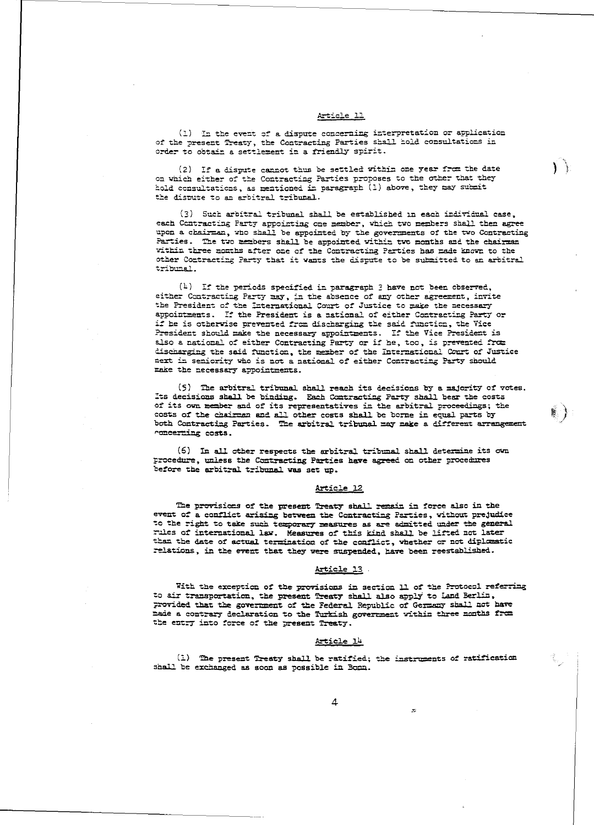### Article 11

 $\mathbf{V}$ 

(1) In the event of a dispute concerning interpretation or application of the present Treaty, the Contracting Parties shall hold consultations in order to obtain a settlement in a friendly spirit.

(2) If a dispute cannot thus be settled within one year from the date on which either of the Contracting Parties proposes to the other that they hold consultations, as mentioned in paragraph (1) above, they may submit the dispute to an arbitral tribunal.

(3) Such arbitral tribunal shall be established in each individual case, each Contracting Party appointing one member, which two members shall then agree upon a chairman, who shall be appointed by the governments of the two Contracting Parties. The two members shall be appointed within two months and the chairman within three months after one of the Contracting Parties has made known to the other Contracting Party that it wants the dispute to be submitted to an arbitral tribunal.

 $(k)$  If the periods specified in paragraph 3 have not been observed, either Contracting Party may, in the absence of any other agreement, invite the President of the International Court of Justice to make the necessary appointments. If the President is a national of either Contracting Party or if he is otherwise prevented from discharging the said function, the Vice President should make the necessary appointments. If the Vice President is also a national of either Contracting Party or if he, too, is prevented from discharging the said function, the member of the International Court of Justice next in seniority who is not a national of either Contracting Party should make the necessary appointments.

(5) The arbitral tribunal shall reach its decisions by a majority of votes. Its decisions shall be binding. Each Contracting Party shall bear the costs of its own member and of its representatives in the arbitral proceedings; the costs of the chairman and all other costs shall be borne in equal parts by both Contracting Parties. The arbitral tribunal may make a different arrangement concerning costs.

(6) In all other respects the arbitral tribunal shall determine its own procedure, unless the Contracting Parties have agreed on other procedures before the arbitral tribunal was set up.

### Article 12

The provisions of the present Treaty shall remain in force also in the event of a conflict arising between the Contracting Parties, without prejudice to the right to take such temporary measures as are admitted under the general rules of international law. Measures of this kind shall be lifted not later than the date of actual termination of the conflict, whether or not diplomatic relations, in the event that they were suspended, have been reestablished.

### Article 13

With the exception of the provisions in section 11 of the Protocol referring to air transportation, the present Treaty shall also apply to Land Berlin, provided that the government of the Federal Republic of Germany shall not have made a contrary declaration to the Turkish government within three months from the entry into force of the present Treaty.

### Article 14

(1) The present Treaty shall be ratified; the instruments of ratification shall be exchanged as soon as possible in Bonn.

 $\bar{\nu}$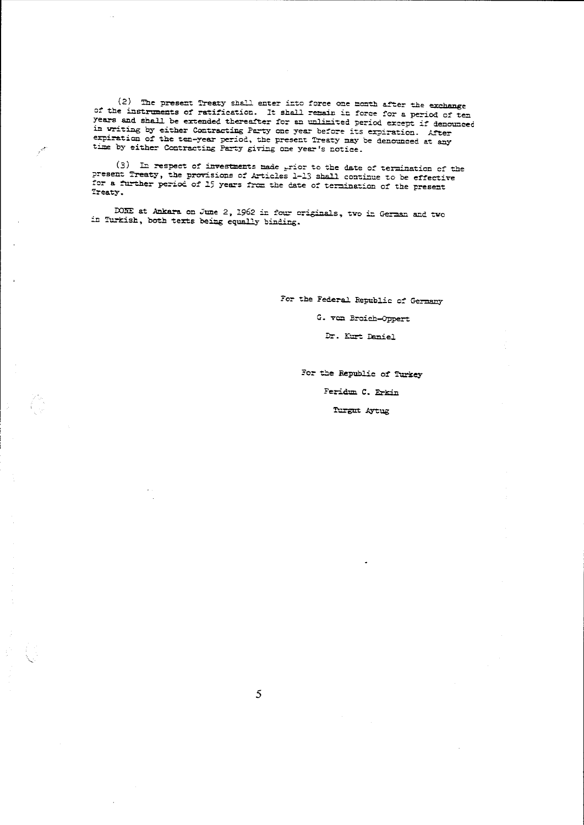(2) The present Treaty shall enter into force one month after the exchange of the instruments of ratification. It shall remain in force for a period of ten years and shall be ertended thereafter for an unlimited period except if denounced in writing by either Contracting Party one year before its expiration. After<br>expiration of the ten-year period, the present Treaty may be denounced at any time by either Contracting Party giving one year's notice.

(3) In respect of investments made prior to the date of termination of the present Treaty, the provisions of Articles 1-13 shall continue to be effective for a further period of 15 years from the date of termination of the present Treaty.

DONE at Ankara on June 2, 1962 in four originals, two in German and two in Turkish, both texts being equally binding.

 $\mathcal{P}^{\mathcal{C}^{\bullet}}$ 

For the Federal Republic of Germany

G. vom Broich-Oppert

Dr. Kurt Daniel

For the Republic of Turkey

# Feridum C. Erkin

Turgut Aytug

5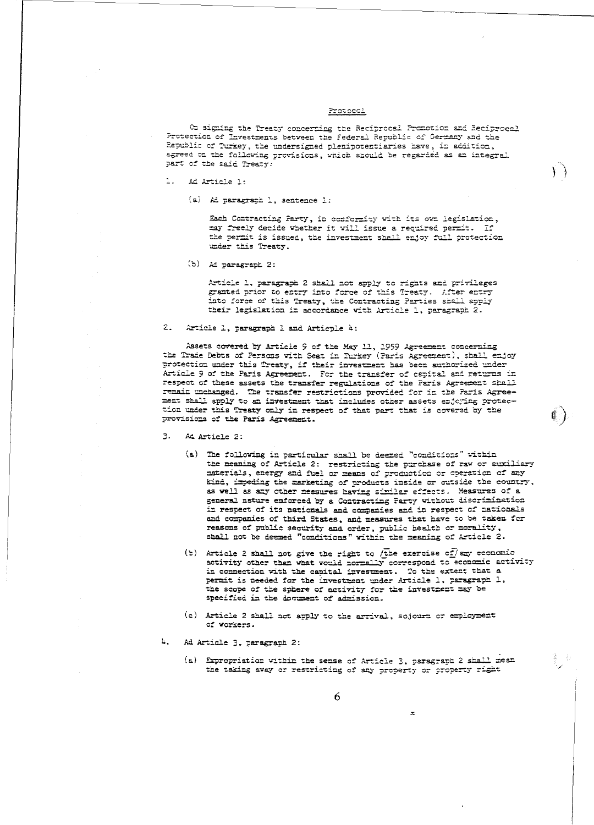### Protocol

On signing the Treaty concerning the Reciprocal Promotion and Reciprocal Protection of Investments between the Federal Republic of Germany and the Republic of Turkey, the undersigned plenipotentiaries have, in addition, agreed on the following provisions, which should be regarded as an integral part of the said Treaty:

- 1. Ad Article 1:
	- (a) Ad paragraph 1, sentence 1:

Each Contracting Party, in conformity with its own legislation, may freely decide whether it will issue a required permit. If the permit is issued, the investment shall enjoy full protection under this Treaty.

(b) Ad paragraph 2:

Article 1, paragraph 2 shall not apply to rights and privileges granted prior to entry into force of this Treaty. After entry into force of this Treaty, the Contracting Parties shall apply their legislation in accordance with Article 1, paragraph 2.

 $2.$ Article 1, paragraph 1 and Articple 4:

Assets covered by Article 9 of the May 11, 1959 Agreement concerning the Trade Debts of Persons with Seat in Turkey (Paris Agreement), shall enjoy protection under this Treaty, if their investment has been authorized under Article 9 of the Paris Agreement. For the transfer of capital and returns in respect of these assets the transfer regulations of the Paris Agreement shall remain unchanged. The transfer restrictions provided for in the Paris Agreement shall spply to an investment that includes other assets enjoying protection under this Treaty only in respect of that part that is covered by the provisions of the Paris Agreement.

- $\overline{3}$ . Ad Article 2:
	- (a) The following in particular shall be deemed "conditions" within the meaning of Article 2: restricting the purchase of raw or auxiliary materials, energy and fuel or means of production or operation of any kind, impeding the marketing of products inside or outside the country, as well as any other measures having similar effects. Measures of a general nature enforced by a Contracting Party without discrimination in respect of its nationals and companies and in respect of nationals and companies of third States, and measures that have to be taken for ressons of public security and order, public health or morality, shall not be deemed "conditions" within the meaning of Article 2.
	- (b) Article 2 shall not give the right to  $\sqrt{t}$  be exercise of  $\exp$  economic activity other than what would normally correspond to economic activity in connection with the capital investment. To the extent that a permit is needed for the investment under Article 1, paragraph 1, the scope of the sphere of activity for the investment may be specified in the document of admission.
	- (c) Article 2 shall not apply to the arrival, sojourn or employment of workers.
- Ad Article 3, paragraph 2:
	- (a) Expropriation within the sense of Article 3, paragraph 2 shall mean the taking away or restricting of any property or property right

 $\boldsymbol{z}$ 

-97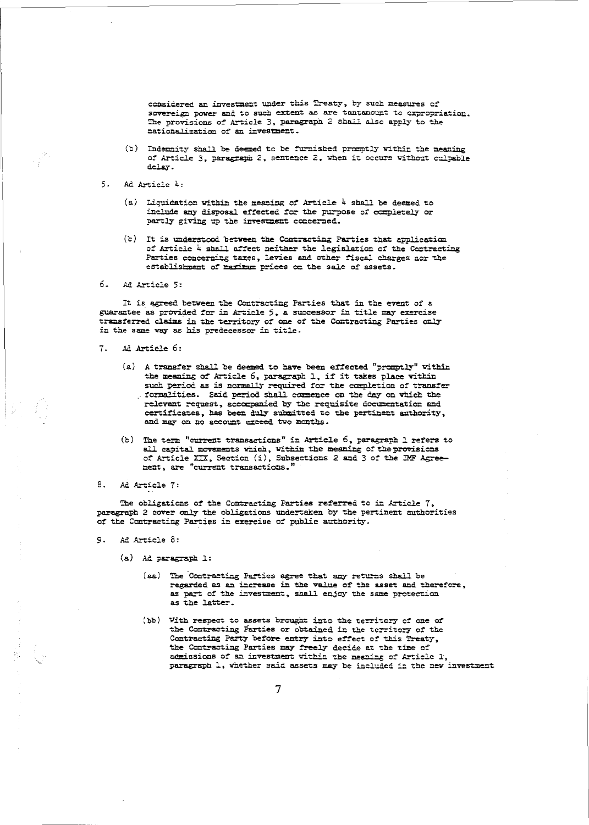considered an investment under this Treaty, by such measures of sovereign power and to such extent as are tantamount to expropriation. The provisions of Article 3, paragraph 2 shall also apply to the nationalization of an investment.

- (b) Indemnity shall be deemed to be furnished promptly within the meaning of Article 3, paragraph 2, sentence 2, when it occurs without culpable delay.
- 5. Ad Article 4:
	- (a) Liquidation within the meaning of Article 4 shall be deemed to include any disposal effected for the purpose of completely or partly giving up the investment concerned.
	- (b) It is understood between the Contracting Parties that application of Article 4 shall affect neither the legislation of the Contracting Parties concerning taxes, levies and other fiscal charges nor the establishment of maximum prices on the sale of assets.

Ad Article 5: 6.

It is agreed between the Contracting Parties that in the event of a guarantee as provided for in Article 5, a successor in title may exercise transferred claims in the territory of one of the Contracting Parties only in the same way as his predecessor in title.

- Ad Article 6:  $7<sub>1</sub>$ 
	- (a) A transfer shall be deemed to have been effected "promptly" within the meaning of Article 6, paragraph 1, if it takes place within such period as is normally required for the completion of transfer , formalities. Said period shall commence on the day on which the relevant request, accompanied by the requisite documentation and certificates, has been duly submitted to the pertinent authority, and may on no account exceed two months.
	- (b) The term "current transactions" in Article 6, paragraph 1 refers to all capital movements which, within the meaning of the provisions of Article XIX, Section (i), Subsections 2 and 3 of the IMF Agree-ment, are "current transactions."
- 8. Ad Article 7:

The obligations of the Contracting Parties referred to in Article 7, paragraph 2 cover only the obligations undertaken by the pertinent authorities of the Contracting Parties in exercise of public authority.

- 9. Ad Article 8:
	- (a) Ad paragraph 1:
		- (aa) The Contracting Parties agree that any returns shall be regarded as an increase in the value of the asset and therefore, as part of the investment, shall enjoy the same protection as the latter.
		- (bb) With respect to assets brought into the territory of one of the Contracting Farties or obtained in the territory of the Contracting Party before entry into effect of this Treaty, the Contracting Parties may freely decide at the time of admissions of an investment within the meaning of Article 1, paragraph 1, whether said assets may be included in the new investment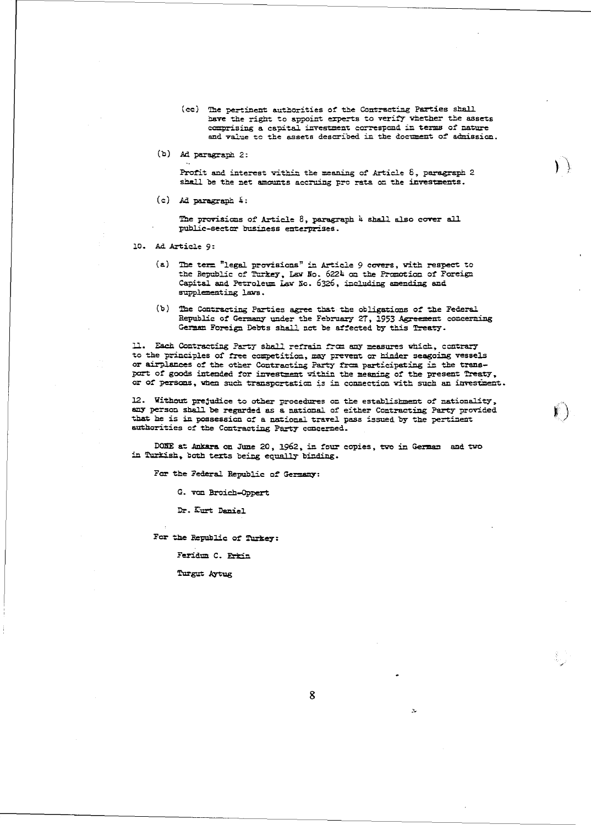- (cc) The pertinent authorities of the Contracting Parties shall have the right to appoint experts to verify whether the assets comprising a capital investment correspond in terms of nature and value to the assets described in the document of admission.
- (b) Ad paragraph 2:

Profit and interest within the meaning of Article 8, paragraph 2 shall be the net amounts accruing pro rata on the investments.

(c) Ad paragraph 4:

The provisions of Article 8, paragraph 4 shall also cover all public-sector business enterprises.

- 10. Ad Article 9:
	- (a) The term "legal provisions" in Article 9 covers, with respect to the Republic of Turkey, Law No. 6224 on the Promotion of Foreign Capital and Petroleum Law No. 6326, including amending and supplementing laws.
	- (b) The Contracting Parties agree that the obligations of the Federal Republic of Germany under the February 27, 1953 Agreement concerning German Foreign Debts shall not be affected by this Treaty.

11. Each Contracting Party shall refrain from any measures which, contrary to the principles of free competition, may prevent or hinder seagoing vessels or airplances of the other Contracting Party from participating in the transpart of goods intended for investment vithin the meaning of the present Treaty, or of persons, when such transportation is in connection with such an investment.

12. Without prejudice to other procedures on the establishment of nationality, any person shall be regarded as a national of either Contracting Party provided that he is in possession of a national travel pass issued by the pertinent authorities of the Contracting Party concerned.

DONE at Ankara on June 20, 1962, in four copies, two in German and two in Turkish, both texts being equally binding.

For the Federal Republic of Germany:

G. vom Broich-Oppert

Dr. Kurt Daniel

For the Republic of Turkey:

Feridun C. Erkin

Turgut Aytug

 $\ddot{\sim}$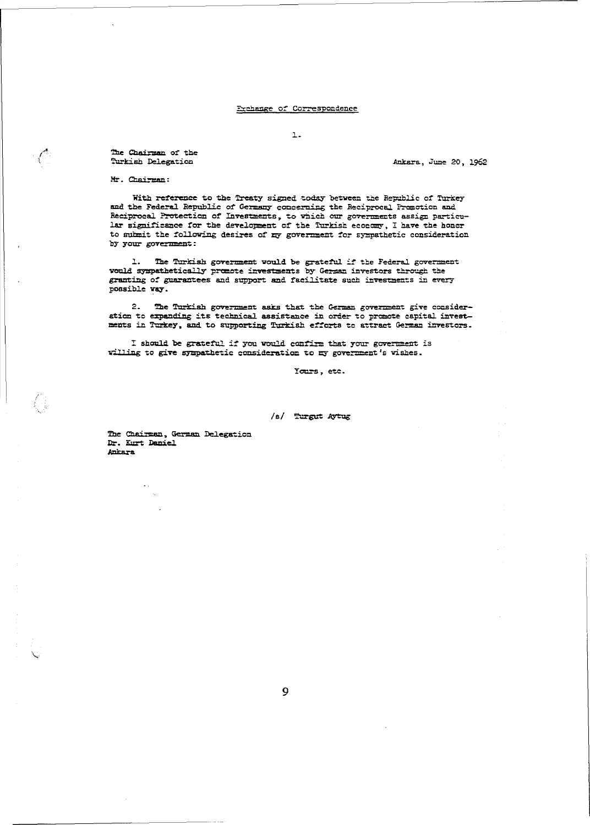## Exchange of Correspondence

 $\mathbf{L}$ .

The Chairman of the Turkish Delegation

Ankara, June 20, 1962

Mr. Chairman:

With reference to the Treaty signed today between the Republic of Turkey and the Federal Republic of Germany concerning the Reciprocal Promotion and Reciprocal Protection of Investments, to which our governments assign particular significance for the development of the Turkish economy, I have the honor to submit the following desires of my government for sympathetic consideration by your government:

1. The Turkish government would be grateful if the Federal government would sympathetically promote investments by German investors through the granting of guarantees and support and facilitate such investments in every possible way.

2. The Turkish government asks that the German government give consideration to expanding its technical assistance in order to promote capital investments in Turkey, and to supporting Turkish efforts to attract German investors.

I should be grateful if you would confirm that your government is villing to give sympathetic consideration to my government's vishes.

Yours, etc.

/s/  $Turgut$  Aytug

The Chairman, German Delegation Dr. Kurt Daniel **Ankara**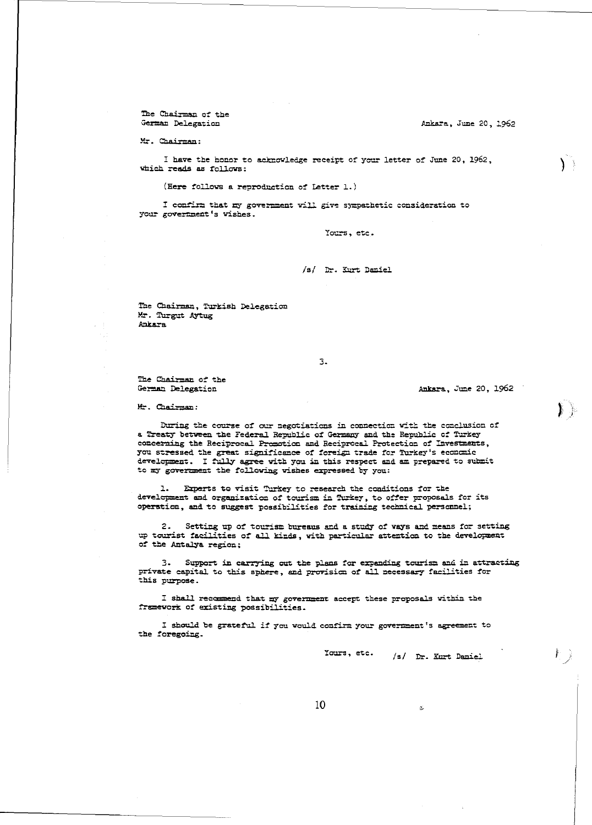The Chairman of the German Delegation

Ankara, June 20, 1962

 $\sum_{i=1}^{n}$ 

医卡

Mr. Chairman:

I have the honor to acknowledge receipt of your letter of June 20, 1962, which reads as follows:

(Here follows a reproduction of Letter 1.)

I confirm that my government will give sympathetic consideration to your government's vishes.

Yours, etc.

/s/ Dr. Kurt Daniel

The Chairman, Turkish Delegation Mr. Turgut Aytug Ankara

3.

The Chairman of the German Delegation

Ankara, June 20, 1962

Mr. Chairman:

During the course of our negotiations in connection with the conclusion of a Treaty between the Federal Republic of Germany and the Republic of Turkey concerning the Reciprocal Promotion and Reciprocal Protection of Investments, you stressed the great significance of foreign trade for Turkey's economic development. I fully agree with you in this respect and am prepared to submit to my government the following wishes expressed by you:

Experts to visit Turkey to research the conditions for the development and organization of tourism in Turkey, to offer proposals for its operation, and to suggest possibilities for training technical personnel;

Setting up of tourism bureaus and a study of ways and means for setting up tourist facilities of all kinds, with particular attention to the development of the Antalya region;

Support in carrying out the plans for expanding tourism and in attracting  $3.$ private capital to this sphere, and provision of all necessary facilities for this purpose.

I shall recommend that my government accept these proposals within the framework of existing possibilities.

I should be grateful if you would confirm your government's agreement to the foregoing.

> Yours, etc. /s/ Dr. Kurt Daniel

> > $\geq$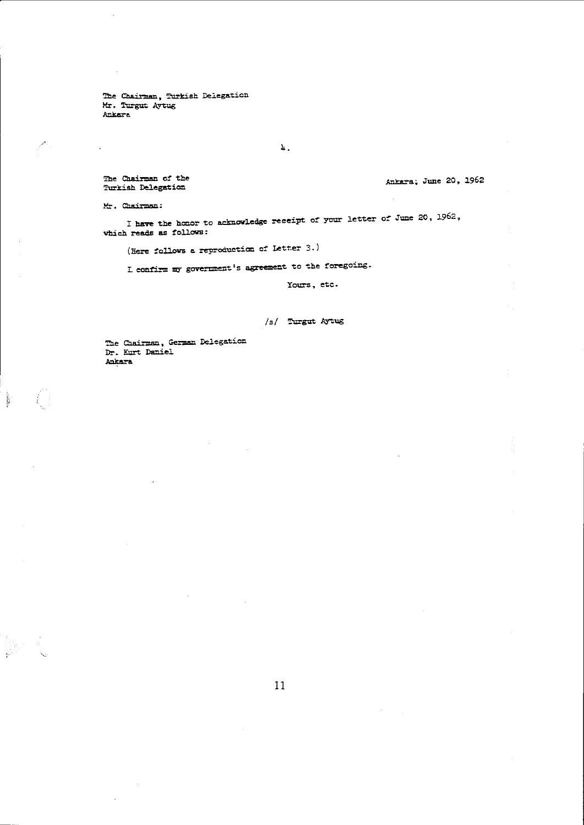The Chairman, Turkish Delegation Mr. Turgut Aytug Ankara

 $\mathbf{h}$  .

The Chairman of the Turkish Delegation

Ankara; June 20, 1962

Mr. Chairman:

 $\mathbb{R}^2$ 

 $\mathcal{P}^{\mathcal{P}}$  .

 $\frac{1}{2}$  and  $\frac{1}{2}$ 

I have the honor to acknowledge receipt of your letter of June 20, 1962, which reads as follows:

(Here follows a reproduction of Letter 3.)

I confirm my government's agreement to the foregoing.

Yours, etc.

/s/ Turgut Aytug

The Chairman, German Delegation Dr. Kurt Daniel Ankara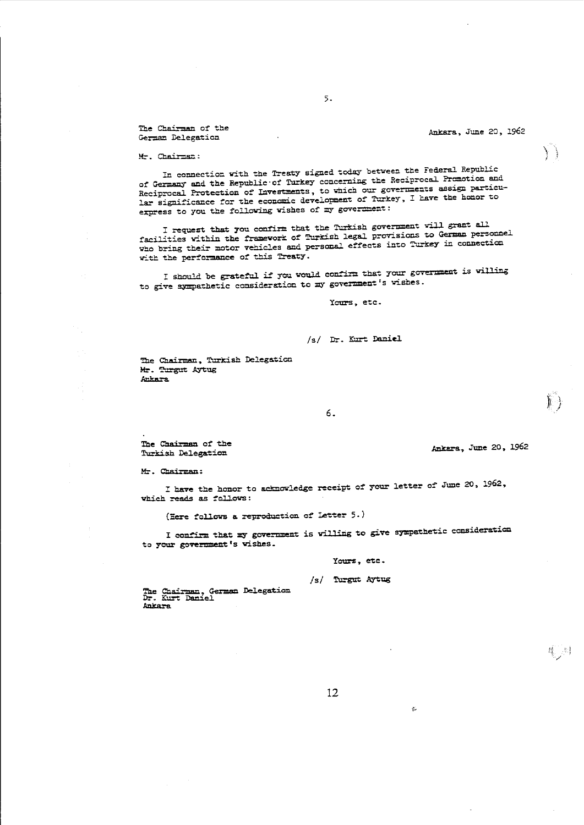The Chairman of the German Delegation

Ankara, June 20, 1962

 $\left| \ \right|$ 

Mr. Chairman:

In connection with the Treaty signed today between the Federal Republic of Germany and the Republic of Turkey concerning the Reciprocal Promotion and Reciprocal Protection of Investments, to which our governments assign particular significance for the economic development of Turkey, I have the honor to express to you the following wishes of my government:

 $5.$ 

I request that you confirm that the Turkish government will grant all facilities within the framework of Turkish legal provisions to German personnel who bring their motor vehicles and personal effects into Turkey in connection with the performance of this Treaty.

I should be grateful if you would confirm that your government is willing to give sympathetic consideration to my government's vishes.

Yours, etc.

### /s/ Dr. Kurt Daniel

The Chairman, Turkish Delegation Mr. Turgut Aytug Ankara

6.

The Chairman of the Turkish Delegation

Ankara, June 20, 1962

Mr. Chairman:

I have the honor to acknowledge receipt of your letter of June 20, 1962, which reads as follows:

(Eere follows a reproduction of Letter 5.)

I confirm that my government is willing to give sympathetic consideration to your government's wishes.

#### Yours, etc.

 $\mathcal{N}_\mathrm{c}$ 

/s/ Turgut Aytug

The Chairman, German Delegation<br>Dr. Kurt Daniel Ankara

12

覆 则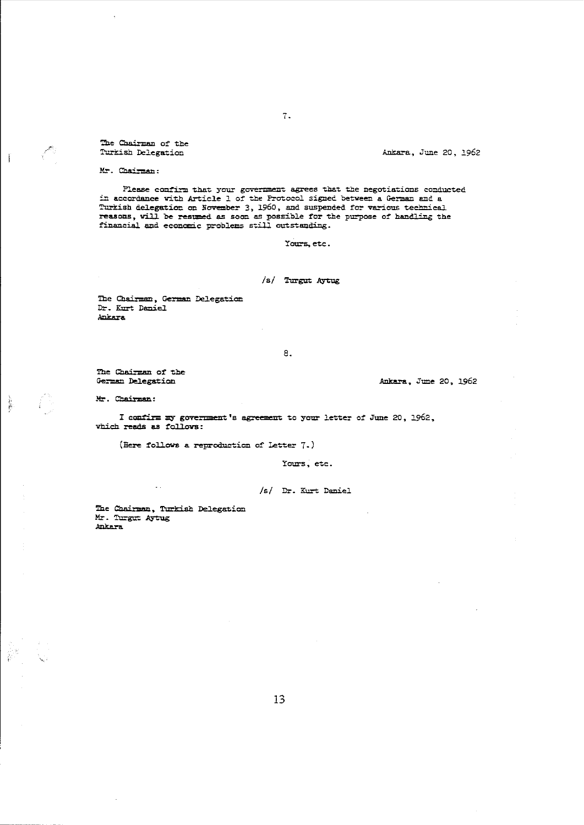The Chairman of the Turkish Delegation

Mr. Chairman:

**Barrett** 

 $\mathbf{I}$ 

 $\int_0^{\pi/2}$ 

Please confirm that your government agrees that the negotiations conducted in accordance with Article 1 of the Protocol signed between a German and a Turkish delegation on November 3, 1960, and suspended for various technical reasons, will be resumed as soon as possible for the purpose of handling the financial and economic problems still outstanding.

Yours, etc.

/s/ Turgut Aytug

The Chairman, German Delegation Dr. Kurt Daniel Ankara

8.

The Chairman of the German Delegation

Ankara, June 20, 1962

Mr. Chairman:

I confirm my government's agreement to your letter of June 20, 1962, which reads as follows:

(Here follows a reproduction of Letter 7.)

Yours, etc.

/s/ Dr. Kurt Daniel

The Chairman, Turkish Delegation Mr. Turgut Aytug Ankara

 $\mathbb{Z}^2$ 

 $7.$ 

Ankara, June 20, 1962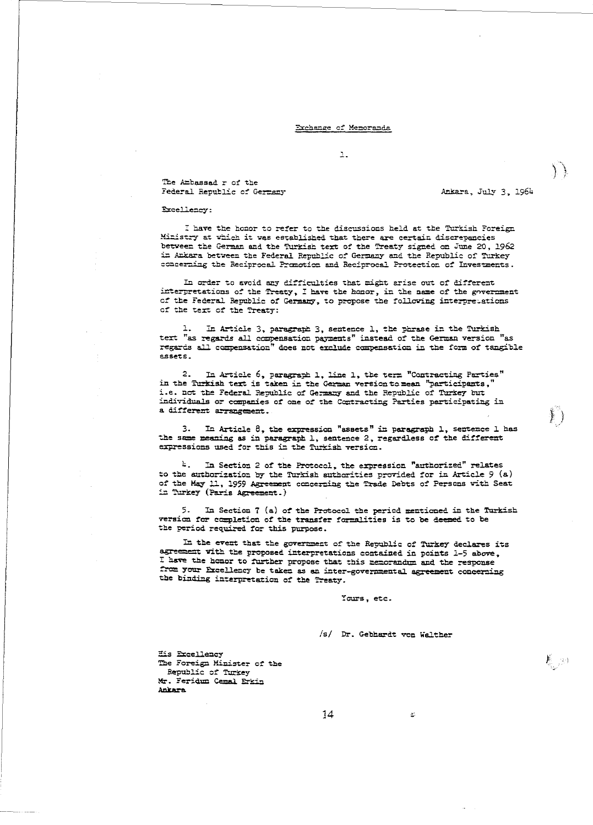#### Exchange of Memoranda

 $\mathbf{1}$ .

The Ambassad r of the Federal Republic of Germany

Ankara, July 3, 1964

Excellency:

I have the honor to refer to the discussions held at the Turkish Foreign Ministry at which it was established that there are certain discrepancies between the German and the Turkish text of the Treaty signed on June 20, 1962 in Ankara between the Federal Republic of Germany and the Republic of Turkey concerning the Reciprocal Promotion and Reciprocal Protection of Investments.

In order to avoid any difficulties that might arise out of different interpretations of the Treaty, I have the honor, in the name of the government of the Federal Republic of Germany, to propose the following interpretations of the text of the Treaty:

In Article 3, paragraph 3, sentence 1, the phrase in the Turkish text "as regards all compensation payments" instead of the German version "as regards all compensation" does not exclude compensation in the form of tangible assets.

In Article 6, paragraph 1, line 1, the term "Contracting Parties" in the Turkish text is taken in the German version to mean "participants, i.e. not the Federal Republic of Germany and the Republic of Turkey but individuals or companies of one of the Contracting Parties participating in a different arrangement.

3. In Article 8, the expression "assets" in paragraph 1, sentence 1 has the same meaning as in paragraph 1, sentence 2, regardless of the different expressions used for this in the furkish version.

4. In Section 2 of the Protocol, the expression "authorized" relates to the authorization by the Turkish authorities provided for in Article  $9$  (a) of the May 11, 1959 Agreement concerning the Trade Debts of Persons with Seat in Turkey (Paris Agreement.)

In Section 7 (a) of the Protocol the period mentioned in the Turkish  $5.$ version for completion of the transfer formalities is to be deemed to be the period required for this purpose.

In the event that the government of the Republic of Turkey declares its agreement with the proposed interpretations contained in points 1-5 above, I have the honor to further propose that this memorandum and the response from your Excellency be taken as an inter-governmental agreement concerning the binding interpretation of the Treaty.

Yours, etc.

/s/ Dr. Gebhardt von Walther

氢

His Excellency The Foreign Minister of the Republic of Turkey Mr. Feridun Cemal Erkin Ankara

14

 $\int_{\Gamma_{\rm L}}$  and

 $\left\langle \!\! \begin{array}{c} 1 \end{array} \!\! \right\rangle$